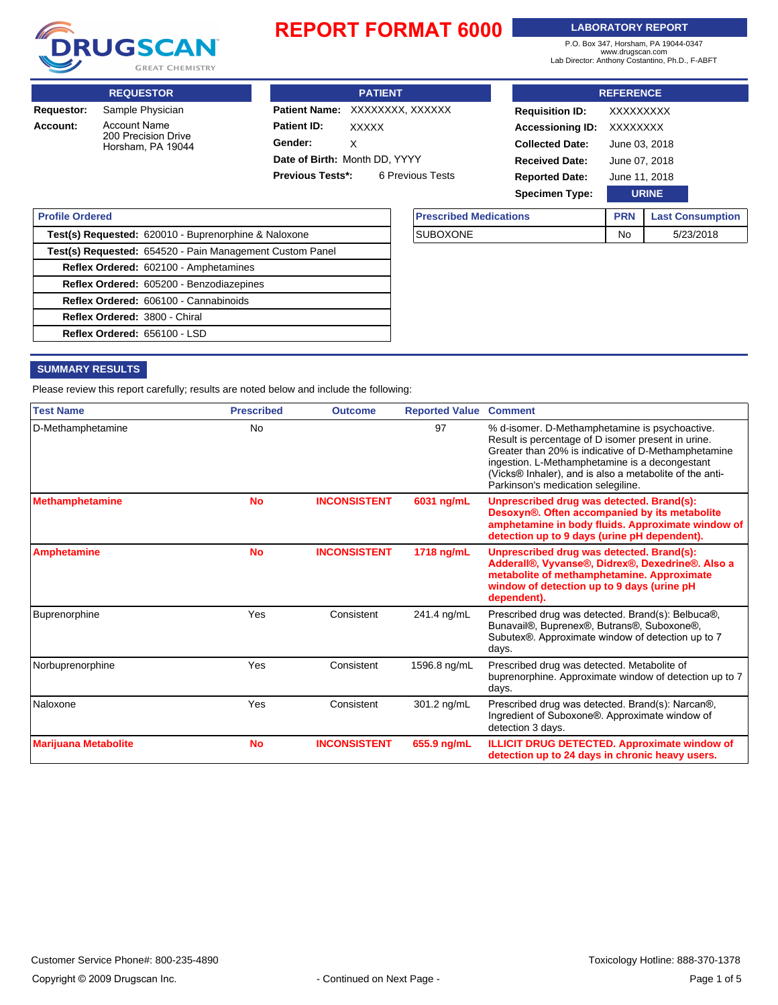

#### **LABORATORY REPORT**

P.O. Box 347, Horsham, PA 19044-0347 www.drugscan.com Lab Director: Anthony Costantino, Ph.D., F-ABFT

**REQUESTOR PATIENT** Patient Name: XXXXXXXX, XXXXXX Patient ID: XXXXX **Gender: REFERENCE Requisition ID:** XXXXXXXXX **Accessioning ID:** XXXXXXXX **Collected Date:** June 03, 2018 **Received Date:** June 07, 2018 **Requestor:** Sample Physician **Account:** Account Name 200 Precision Drive Horsham, PA 19044 X **Date of Birth:** Month DD, YYYY

**Previous Tests\*:** 6 Previous Tests

| <b>Specimen Type:</b>         |            | <b>URINE</b>            |  |
|-------------------------------|------------|-------------------------|--|
| <b>Prescribed Medications</b> | <b>PRN</b> | <b>Last Consumption</b> |  |
| <b>SUBOXONE</b>               | No         | 5/23/2018               |  |

**Reported Date:** June 11, 2018

| <b>Profile Ordered</b>        |                                                          |
|-------------------------------|----------------------------------------------------------|
|                               | Test(s) Requested: 620010 - Buprenorphine & Naloxone     |
|                               | Test(s) Requested: 654520 - Pain Management Custom Panel |
|                               | Reflex Ordered: 602100 - Amphetamines                    |
|                               | Reflex Ordered: 605200 - Benzodiazepines                 |
|                               | Reflex Ordered: 606100 - Cannabinoids                    |
| Reflex Ordered: 3800 - Chiral |                                                          |
| Reflex Ordered: 656100 - LSD  |                                                          |

#### **SUMMARY RESULTS**

Please review this report carefully; results are noted below and include the following:

| <b>Test Name</b>            | <b>Prescribed</b> | <b>Outcome</b>      | <b>Reported Value</b> | <b>Comment</b>                                                                                                                                                                                                                                                                                                 |
|-----------------------------|-------------------|---------------------|-----------------------|----------------------------------------------------------------------------------------------------------------------------------------------------------------------------------------------------------------------------------------------------------------------------------------------------------------|
| D-Methamphetamine           | <b>No</b>         |                     | 97                    | % d-isomer. D-Methamphetamine is psychoactive.<br>Result is percentage of D isomer present in urine.<br>Greater than 20% is indicative of D-Methamphetamine<br>ingestion. L-Methamphetamine is a decongestant<br>(Vicks® Inhaler), and is also a metabolite of the anti-<br>Parkinson's medication selegiline. |
| <b>Methamphetamine</b>      | <b>No</b>         | <b>INCONSISTENT</b> | 6031 ng/mL            | Unprescribed drug was detected. Brand(s):<br>Desoxyn®. Often accompanied by its metabolite<br>amphetamine in body fluids. Approximate window of<br>detection up to 9 days (urine pH dependent).                                                                                                                |
| <b>Amphetamine</b>          | <b>No</b>         | <b>INCONSISTENT</b> | 1718 ng/mL            | Unprescribed drug was detected. Brand(s):<br>Adderall®, Vyvanse®, Didrex®, Dexedrine®. Also a<br>metabolite of methamphetamine. Approximate<br>window of detection up to 9 days (urine pH<br>dependent).                                                                                                       |
| Buprenorphine               | Yes               | Consistent          | 241.4 ng/mL           | Prescribed drug was detected. Brand(s): Belbuca®,<br>Bunavail®, Buprenex®, Butrans®, Suboxone®,<br>Subutex®. Approximate window of detection up to 7<br>days.                                                                                                                                                  |
| Norbuprenorphine            | Yes               | Consistent          | 1596.8 ng/mL          | Prescribed drug was detected. Metabolite of<br>buprenorphine. Approximate window of detection up to 7<br>days.                                                                                                                                                                                                 |
| Naloxone                    | Yes               | Consistent          | 301.2 ng/mL           | Prescribed drug was detected. Brand(s): Narcan®,<br>Ingredient of Suboxone®. Approximate window of<br>detection 3 days.                                                                                                                                                                                        |
| <b>Marijuana Metabolite</b> | <b>No</b>         | <b>INCONSISTENT</b> | 655.9 ng/mL           | <b>ILLICIT DRUG DETECTED. Approximate window of</b><br>detection up to 24 days in chronic heavy users.                                                                                                                                                                                                         |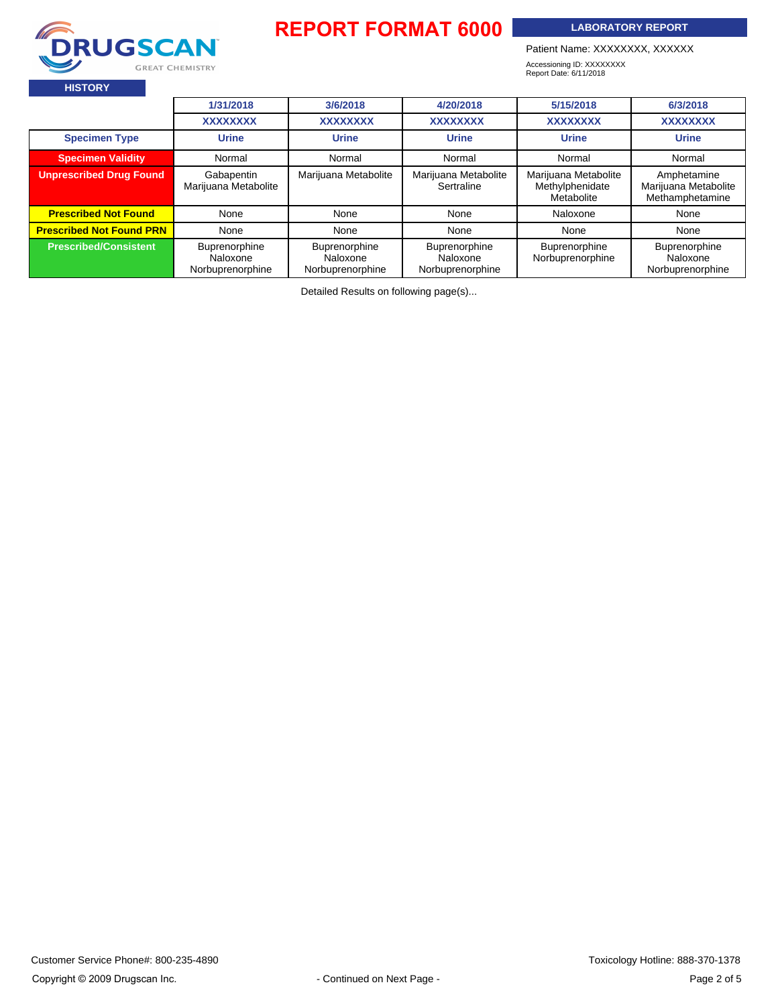

**LABORATORY REPORT**

Patient Name: XXXXXXXX, XXXXXX

Accessioning ID: XXXXXXXX Report Date: 6/11/2018

|                                      | 1/31/2018                                     | 3/6/2018                                      | 4/20/2018                                     | 5/15/2018                                             | 6/3/2018                                               |
|--------------------------------------|-----------------------------------------------|-----------------------------------------------|-----------------------------------------------|-------------------------------------------------------|--------------------------------------------------------|
|                                      | <b>XXXXXXXX</b>                               | <b>XXXXXXXX</b>                               | <b>XXXXXXXX</b>                               | <b>XXXXXXXX</b>                                       | <b>XXXXXXXX</b>                                        |
| <b>Specimen Type</b><br><b>Urine</b> |                                               | <b>Urine</b>                                  | <b>Urine</b>                                  | <b>Urine</b>                                          | <b>Urine</b>                                           |
| <b>Specimen Validity</b>             | Normal                                        | Normal                                        | Normal                                        | Normal                                                | Normal                                                 |
| <b>Unprescribed Drug Found</b>       | Gabapentin<br>Marijuana Metabolite            | Marijuana Metabolite                          | Marijuana Metabolite<br>Sertraline            | Marijuana Metabolite<br>Methylphenidate<br>Metabolite | Amphetamine<br>Marijuana Metabolite<br>Methamphetamine |
| <b>Prescribed Not Found</b>          | None                                          | None                                          | None                                          | Naloxone                                              | None                                                   |
| <b>Prescribed Not Found PRN</b>      | None                                          | None                                          | None                                          | None                                                  | None                                                   |
| <b>Prescribed/Consistent</b>         | Buprenorphine<br>Naloxone<br>Norbuprenorphine | Buprenorphine<br>Naloxone<br>Norbuprenorphine | Buprenorphine<br>Naloxone<br>Norbuprenorphine | Buprenorphine<br>Norbuprenorphine                     | Buprenorphine<br>Naloxone<br>Norbuprenorphine          |

Detailed Results on following page(s)...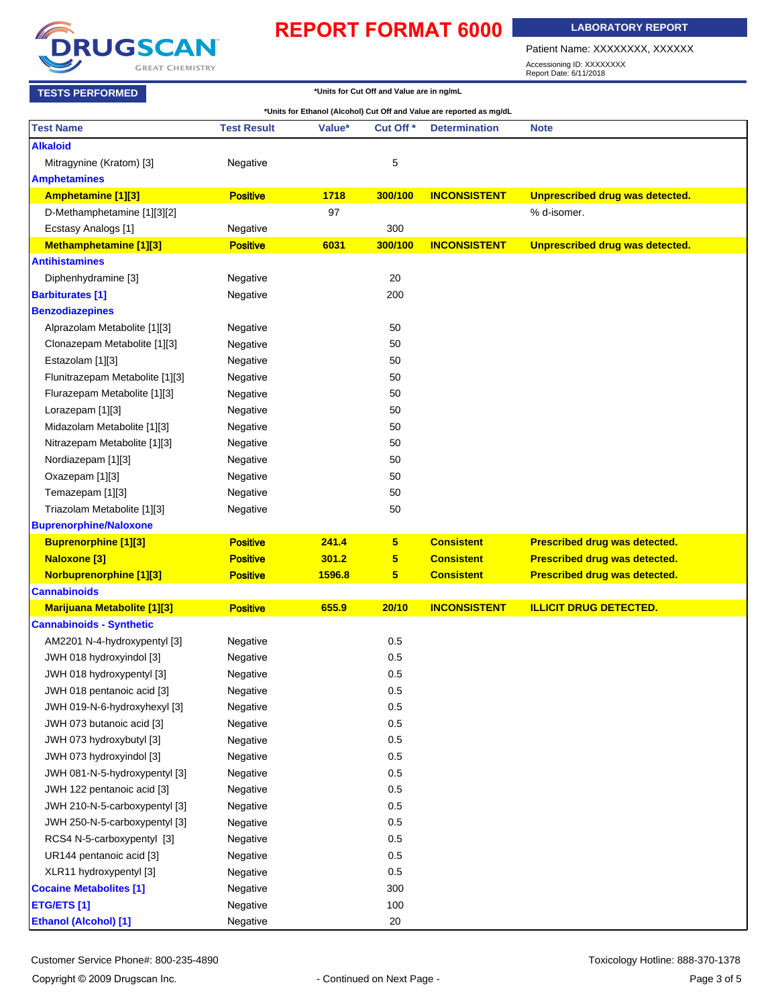

**LABORATORY REPORT**

Patient Name: XXXXXXXX, XXXXXX

Accessioning ID: XXXXXXXX Report Date: 6/11/2018

| *Units for Cut Off and Value are in ng/mL<br><b>TESTS PERFORMED</b> |                    |        |                      |                                                                      |                                        |
|---------------------------------------------------------------------|--------------------|--------|----------------------|----------------------------------------------------------------------|----------------------------------------|
|                                                                     |                    |        |                      | *Units for Ethanol (Alcohol) Cut Off and Value are reported as mg/dL |                                        |
| <b>Test Name</b>                                                    | <b>Test Result</b> | Value* | Cut Off <sup>*</sup> | <b>Determination</b>                                                 | <b>Note</b>                            |
| <b>Alkaloid</b>                                                     |                    |        |                      |                                                                      |                                        |
| Mitragynine (Kratom) [3]                                            | Negative           |        | 5                    |                                                                      |                                        |
| <b>Amphetamines</b>                                                 |                    |        |                      |                                                                      |                                        |
| Amphetamine [1][3]                                                  | <b>Positive</b>    | 1718   | 300/100              | <b>INCONSISTENT</b>                                                  | Unprescribed drug was detected.        |
| D-Methamphetamine [1][3][2]                                         |                    | 97     |                      |                                                                      | % d-isomer.                            |
| Ecstasy Analogs [1]                                                 | Negative           |        | 300                  |                                                                      |                                        |
| Methamphetamine [1][3]                                              | <b>Positive</b>    | 6031   | 300/100              | <b>INCONSISTENT</b>                                                  | <b>Unprescribed drug was detected.</b> |
| <b>Antihistamines</b>                                               |                    |        |                      |                                                                      |                                        |
| Diphenhydramine [3]                                                 | Negative           |        | 20                   |                                                                      |                                        |
| <b>Barbiturates [1]</b>                                             | Negative           |        | 200                  |                                                                      |                                        |
| <b>Benzodiazepines</b>                                              |                    |        |                      |                                                                      |                                        |
| Alprazolam Metabolite [1][3]                                        | Negative           |        | 50                   |                                                                      |                                        |
| Clonazepam Metabolite [1][3]                                        | Negative           |        | 50                   |                                                                      |                                        |
| Estazolam [1][3]                                                    | Negative           |        | 50                   |                                                                      |                                        |
| Flunitrazepam Metabolite [1][3]                                     | Negative           |        | 50                   |                                                                      |                                        |
| Flurazepam Metabolite [1][3]                                        | Negative           |        | 50                   |                                                                      |                                        |
| Lorazepam [1][3]                                                    | Negative           |        | 50                   |                                                                      |                                        |
| Midazolam Metabolite [1][3]                                         | Negative           |        | 50                   |                                                                      |                                        |
| Nitrazepam Metabolite [1][3]                                        | Negative           |        | 50                   |                                                                      |                                        |
| Nordiazepam [1][3]                                                  | Negative           |        | 50                   |                                                                      |                                        |
| Oxazepam [1][3]                                                     | Negative           |        | 50                   |                                                                      |                                        |
| Temazepam [1][3]                                                    | Negative           |        | 50                   |                                                                      |                                        |
| Triazolam Metabolite [1][3]                                         | Negative           |        | 50                   |                                                                      |                                        |
| <b>Buprenorphine/Naloxone</b>                                       |                    |        |                      |                                                                      |                                        |
| <b>Buprenorphine [1][3]</b>                                         | <b>Positive</b>    | 241.4  | 5 <sup>5</sup>       | <b>Consistent</b>                                                    | Prescribed drug was detected.          |
| <b>Naloxone [3]</b>                                                 | <b>Positive</b>    | 301.2  | 5                    | <b>Consistent</b>                                                    | Prescribed drug was detected.          |
| <b>Norbuprenorphine [1][3]</b>                                      | <b>Positive</b>    | 1596.8 | 5 <sup>5</sup>       | <b>Consistent</b>                                                    | Prescribed drug was detected.          |
| <b>Cannabinoids</b>                                                 |                    |        |                      |                                                                      |                                        |
| <b>Marijuana Metabolite [1][3]</b>                                  | <b>Positive</b>    | 655.9  | 20/10                | <b>INCONSISTENT</b>                                                  | <b>ILLICIT DRUG DETECTED.</b>          |
| <b>Cannabinoids - Synthetic</b>                                     |                    |        |                      |                                                                      |                                        |
| AM2201 N-4-hydroxypentyl [3]                                        | Negative           |        | 0.5                  |                                                                      |                                        |
| JWH 018 hydroxyindol [3]                                            | Negative           |        | 0.5                  |                                                                      |                                        |
| JWH 018 hydroxypentyl [3]                                           | Negative           |        | 0.5                  |                                                                      |                                        |
| JWH 018 pentanoic acid [3]                                          | Negative           |        | 0.5                  |                                                                      |                                        |
| JWH 019-N-6-hydroxyhexyl [3]                                        | Negative           |        | 0.5                  |                                                                      |                                        |
| JWH 073 butanoic acid [3]                                           | Negative           |        | 0.5                  |                                                                      |                                        |
| JWH 073 hydroxybutyl [3]                                            | Negative           |        | 0.5                  |                                                                      |                                        |
| JWH 073 hydroxyindol [3]                                            | Negative           |        | 0.5                  |                                                                      |                                        |
| JWH 081-N-5-hydroxypentyl [3]                                       | Negative           |        | 0.5                  |                                                                      |                                        |
| JWH 122 pentanoic acid [3]                                          | Negative           |        | 0.5                  |                                                                      |                                        |
| JWH 210-N-5-carboxypentyl [3]                                       | Negative           |        | 0.5                  |                                                                      |                                        |
| JWH 250-N-5-carboxypentyl [3]                                       | Negative           |        | 0.5                  |                                                                      |                                        |
| RCS4 N-5-carboxypentyl [3]                                          | Negative           |        | 0.5                  |                                                                      |                                        |
| UR144 pentanoic acid [3]                                            | Negative           |        | 0.5                  |                                                                      |                                        |
| XLR11 hydroxypentyl [3]                                             | Negative           |        | 0.5                  |                                                                      |                                        |
| <b>Cocaine Metabolites [1]</b>                                      | Negative           |        | 300                  |                                                                      |                                        |
| <b>ETG/ETS [1]</b>                                                  | Negative           |        | 100                  |                                                                      |                                        |
| <b>Ethanol (Alcohol)</b> [1]                                        | Negative           |        | $20\,$               |                                                                      |                                        |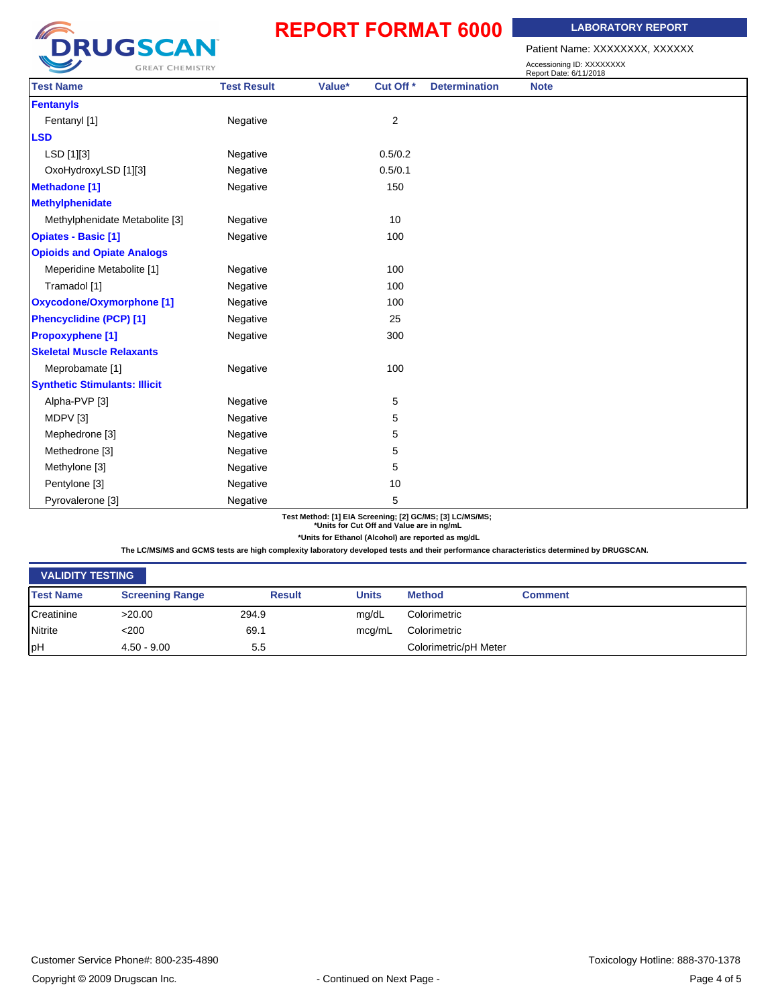**LABORATORY REPORT**

Patient Name: XXXXXXXX, XXXXXX

| <b>GREAT CHEMISTRY</b>               |                    |        |                         |                      | Accessioning ID: XXXXXXXX<br>Report Date: 6/11/2018 |  |
|--------------------------------------|--------------------|--------|-------------------------|----------------------|-----------------------------------------------------|--|
| <b>Test Name</b>                     | <b>Test Result</b> | Value* | Cut Off <sup>*</sup>    | <b>Determination</b> | <b>Note</b>                                         |  |
| <b>Fentanyls</b>                     |                    |        |                         |                      |                                                     |  |
| Fentanyl [1]                         | Negative           |        | $\overline{\mathbf{c}}$ |                      |                                                     |  |
| <b>LSD</b>                           |                    |        |                         |                      |                                                     |  |
| LSD [1][3]                           | Negative           |        | 0.5/0.2                 |                      |                                                     |  |
| OxoHydroxyLSD [1][3]                 | Negative           |        | 0.5/0.1                 |                      |                                                     |  |
| <b>Methadone [1]</b>                 | Negative           |        | 150                     |                      |                                                     |  |
| <b>Methylphenidate</b>               |                    |        |                         |                      |                                                     |  |
| Methylphenidate Metabolite [3]       | Negative           |        | 10                      |                      |                                                     |  |
| <b>Opiates - Basic [1]</b>           | Negative           |        | 100                     |                      |                                                     |  |
| <b>Opioids and Opiate Analogs</b>    |                    |        |                         |                      |                                                     |  |
| Meperidine Metabolite [1]            | Negative           |        | 100                     |                      |                                                     |  |
| Tramadol [1]                         | Negative           |        | 100                     |                      |                                                     |  |
| <b>Oxycodone/Oxymorphone [1]</b>     | Negative           |        | 100                     |                      |                                                     |  |
| <b>Phencyclidine (PCP) [1]</b>       | Negative           |        | 25                      |                      |                                                     |  |
| <b>Propoxyphene [1]</b>              | Negative           |        | 300                     |                      |                                                     |  |
| <b>Skeletal Muscle Relaxants</b>     |                    |        |                         |                      |                                                     |  |
| Meprobamate [1]                      | Negative           |        | 100                     |                      |                                                     |  |
| <b>Synthetic Stimulants: Illicit</b> |                    |        |                         |                      |                                                     |  |
| Alpha-PVP [3]                        | Negative           |        | 5                       |                      |                                                     |  |
| MDPV [3]                             | Negative           |        | 5                       |                      |                                                     |  |
| Mephedrone [3]                       | Negative           |        | 5                       |                      |                                                     |  |
| Methedrone [3]                       | Negative           |        | 5                       |                      |                                                     |  |
| Methylone [3]                        | Negative           |        | 5                       |                      |                                                     |  |
| Pentylone [3]                        | Negative           |        | 10                      |                      |                                                     |  |
| Pyrovalerone [3]                     | Negative           |        | 5                       |                      |                                                     |  |

#### **Test Method: [1] EIA Screening; [2] GC/MS; [3] LC/MS/MS; \*Units for Cut Off and Value are in ng/mL**

**\*Units for Ethanol (Alcohol) are reported as mg/dL**

**The LC/MS/MS and GCMS tests are high complexity laboratory developed tests and their performance characteristics determined by DRUGSCAN.**

| <b>VALIDITY TESTING</b> |                        |               |              |                       |                |  |
|-------------------------|------------------------|---------------|--------------|-----------------------|----------------|--|
| <b>Test Name</b>        | <b>Screening Range</b> | <b>Result</b> | <b>Units</b> | <b>Method</b>         | <b>Comment</b> |  |
| Creatinine              | >20.00                 | 294.9         | mg/dL        | Colorimetric          |                |  |
| Nitrite                 | < 200                  | 69.1          | mcq/mL       | Colorimetric          |                |  |
| <b>pH</b>               | $4.50 - 9.00$          | 5.5           |              | Colorimetric/pH Meter |                |  |

**DRUGSCAN** 

**GREAT CHEMISTRY**